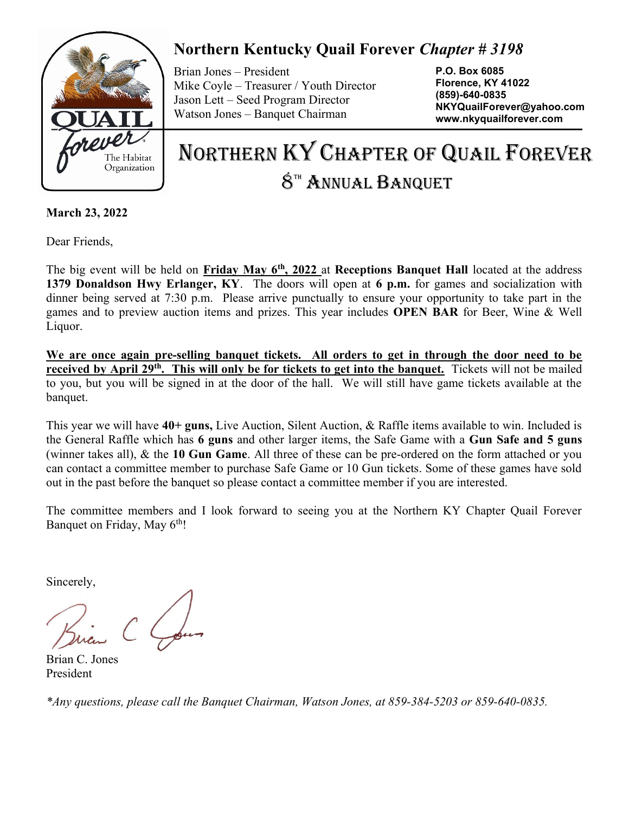

## Northern Kentucky Quail Forever Chapter # 3198

Brian Jones – President Mike Coyle – Treasurer / Youth Director Jason Lett – Seed Program Director Watson Jones – Banquet Chairman

P.O. Box 6085 Florence, KY 41022 (859)-640-0835 NKYQuailForever@yahoo.com www.nkyquailforever.com

# NORTHERN KY CHAPTER OF QUAIL FOREVER  $8<sup>th</sup>$  Annual Banquet

March 23, 2022

Dear Friends,

The big event will be held on Friday May 6<sup>th</sup>, 2022 at Receptions Banquet Hall located at the address 1379 Donaldson Hwy Erlanger, KY. The doors will open at 6 p.m. for games and socialization with dinner being served at 7:30 p.m. Please arrive punctually to ensure your opportunity to take part in the games and to preview auction items and prizes. This year includes OPEN BAR for Beer, Wine & Well Liquor.

We are once again pre-selling banquet tickets. All orders to get in through the door need to be received by April 29<sup>th</sup>. This will only be for tickets to get into the banquet. Tickets will not be mailed to you, but you will be signed in at the door of the hall. We will still have game tickets available at the banquet.

This year we will have  $40+$  guns, Live Auction, Silent Auction, & Raffle items available to win. Included is the General Raffle which has 6 guns and other larger items, the Safe Game with a Gun Safe and 5 guns (winner takes all), & the 10 Gun Game. All three of these can be pre-ordered on the form attached or you can contact a committee member to purchase Safe Game or 10 Gun tickets. Some of these games have sold out in the past before the banquet so please contact a committee member if you are interested.

The committee members and I look forward to seeing you at the Northern KY Chapter Quail Forever Banquet on Friday, May 6<sup>th</sup>!

Sincerely,

Brian C. Jones President

\*Any questions, please call the Banquet Chairman, Watson Jones, at 859-384-5203 or 859-640-0835.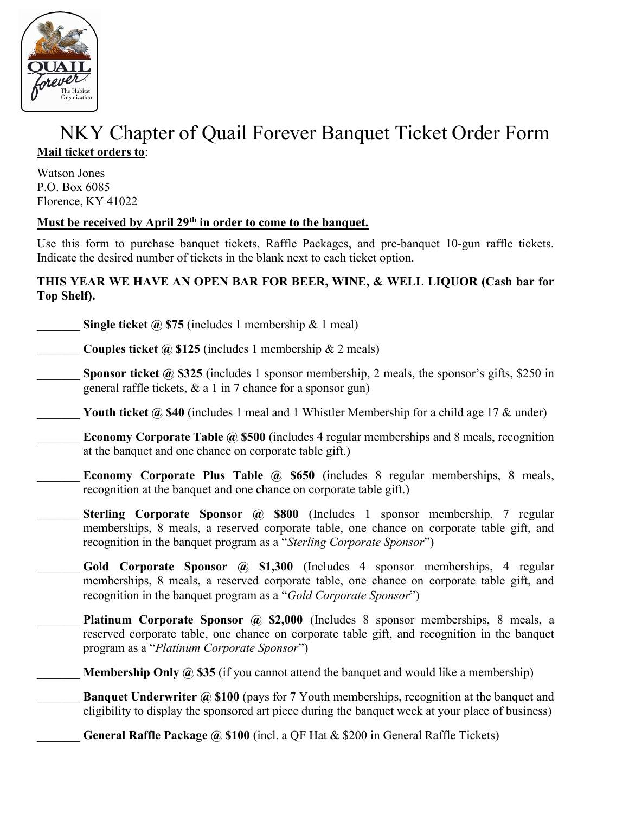

## NKY Chapter of Quail Forever Banquet Ticket Order Form Mail ticket orders to:

Watson Jones P.O. Box 6085 Florence, KY 41022

### Must be received by April 29<sup>th</sup> in order to come to the banquet.

Use this form to purchase banquet tickets, Raffle Packages, and pre-banquet 10-gun raffle tickets. Indicate the desired number of tickets in the blank next to each ticket option.

#### THIS YEAR WE HAVE AN OPEN BAR FOR BEER, WINE, & WELL LIQUOR (Cash bar for Top Shelf).

Single ticket  $\omega$  \$75 (includes 1 membership & 1 meal)

**Couples ticket @ \$125** (includes 1 membership & 2 meals)

**Sponsor ticket @ \$325** (includes 1 sponsor membership, 2 meals, the sponsor's gifts, \$250 in general raffle tickets, & a 1 in 7 chance for a sponsor gun)

Youth ticket @ \$40 (includes 1 meal and 1 Whistler Membership for a child age 17  $\&$  under)

- **Economy Corporate Table @ \$500** (includes 4 regular memberships and 8 meals, recognition at the banquet and one chance on corporate table gift.)
- Economy Corporate Plus Table  $\omega$  \$650 (includes 8 regular memberships, 8 meals, recognition at the banquet and one chance on corporate table gift.)
- Sterling Corporate Sponsor @ \$800 (Includes 1 sponsor membership, 7 regular memberships, 8 meals, a reserved corporate table, one chance on corporate table gift, and recognition in the banquet program as a "Sterling Corporate Sponsor")
- Gold Corporate Sponsor @ \$1,300 (Includes 4 sponsor memberships, 4 regular memberships, 8 meals, a reserved corporate table, one chance on corporate table gift, and recognition in the banquet program as a "Gold Corporate Sponsor")
- Platinum Corporate Sponsor @ \$2,000 (Includes 8 sponsor memberships, 8 meals, a reserved corporate table, one chance on corporate table gift, and recognition in the banquet program as a "Platinum Corporate Sponsor")
	- **Membership Only @ \$35** (if you cannot attend the banquet and would like a membership)
- **Banquet Underwriter @ \$100 (pays for 7 Youth memberships, recognition at the banquet and** eligibility to display the sponsored art piece during the banquet week at your place of business)

General Raffle Package @ \$100 (incl. a QF Hat & \$200 in General Raffle Tickets)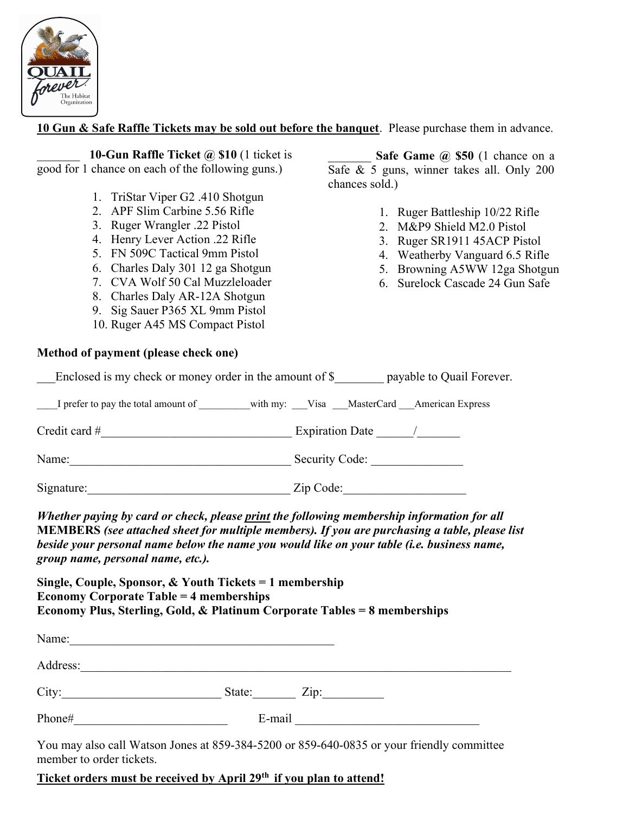

10 Gun & Safe Raffle Tickets may be sold out before the banquet. Please purchase them in advance.

10-Gun Raffle Ticket  $\omega$  \$10 (1 ticket is good for 1 chance on each of the following guns.)

- 1. TriStar Viper G2 .410 Shotgun
	- 2. APF Slim Carbine 5.56 Rifle
	- 3. Ruger Wrangler .22 Pistol
	- 4. Henry Lever Action .22 Rifle
	- 5. FN 509C Tactical 9mm Pistol
	- 6. Charles Daly 301 12 ga Shotgun
	- 7. CVA Wolf 50 Cal Muzzleloader
	- 8. Charles Daly AR-12A Shotgun
	- 9. Sig Sauer P365 XL 9mm Pistol
	- 10. Ruger A45 MS Compact Pistol

#### Method of payment (please check one)

Safe Game  $\omega$  \$50 (1 chance on a Safe & 5 guns, winner takes all. Only 200 chances sold.)

- 1. Ruger Battleship 10/22 Rifle
- 2. M&P9 Shield M2.0 Pistol
- 3. Ruger SR1911 45ACP Pistol
- 4. Weatherby Vanguard 6.5 Rifle
- 5. Browning A5WW 12ga Shotgun
- 6. Surelock Cascade 24 Gun Safe

| Enclosed is my check or money order in the amount of $\$                      | payable to Quail Forever. |
|-------------------------------------------------------------------------------|---------------------------|
| I prefer to pay the total amount of with my: Visa MasterCard American Express |                           |
| Credit card $#$                                                               | Expiration Date /         |
| Name:                                                                         | Security Code:            |
| Signature:                                                                    | Zip Code:                 |

Whether paying by card or check, please print the following membership information for all MEMBERS (see attached sheet for multiple members). If you are purchasing a table, please list beside your personal name below the name you would like on your table (i.e. business name, group name, personal name, etc.).

Single, Couple, Sponsor, & Youth Tickets = 1 membership Economy Corporate Table = 4 memberships Economy Plus, Sterling, Gold, & Platinum Corporate Tables = 8 memberships

| Name:                    |        |                                                                                           |
|--------------------------|--------|-------------------------------------------------------------------------------------------|
| Address:                 |        |                                                                                           |
| City:                    | State: | $\overline{\text{Zip:}}$                                                                  |
| Phone#                   | E-mail |                                                                                           |
| member to order tickets. |        | You may also call Watson Jones at 859-384-5200 or 859-640-0835 or your friendly committee |

Ticket orders must be received by April 29<sup>th</sup> if you plan to attend!